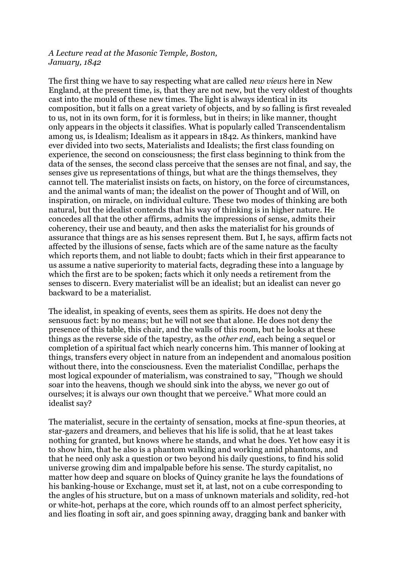## *A Lecture read at the Masonic Temple, Boston, January, 1842*

The first thing we have to say respecting what are called *new views* here in New England, at the present time, is, that they are not new, but the very oldest of thoughts cast into the mould of these new times. The light is always identical in its composition, but it falls on a great variety of objects, and by so falling is first revealed to us, not in its own form, for it is formless, but in theirs; in like manner, thought only appears in the objects it classifies. What is popularly called Transcendentalism among us, is Idealism; Idealism as it appears in 1842. As thinkers, mankind have ever divided into two sects, Materialists and Idealists; the first class founding on experience, the second on consciousness; the first class beginning to think from the data of the senses, the second class perceive that the senses are not final, and say, the senses give us representations of things, but what are the things themselves, they cannot tell. The materialist insists on facts, on history, on the force of circumstances, and the animal wants of man; the idealist on the power of Thought and of Will, on inspiration, on miracle, on individual culture. These two modes of thinking are both natural, but the idealist contends that his way of thinking is in higher nature. He concedes all that the other affirms, admits the impressions of sense, admits their coherency, their use and beauty, and then asks the materialist for his grounds of assurance that things are as his senses represent them. But I, he says, affirm facts not affected by the illusions of sense, facts which are of the same nature as the faculty which reports them, and not liable to doubt; facts which in their first appearance to us assume a native superiority to material facts, degrading these into a language by which the first are to be spoken; facts which it only needs a retirement from the senses to discern. Every materialist will be an idealist; but an idealist can never go backward to be a materialist.

The idealist, in speaking of events, sees them as spirits. He does not deny the sensuous fact: by no means; but he will not see that alone. He does not deny the presence of this table, this chair, and the walls of this room, but he looks at these things as the reverse side of the tapestry, as the *other end*, each being a sequel or completion of a spiritual fact which nearly concerns him. This manner of looking at things, transfers every object in nature from an independent and anomalous position without there, into the consciousness. Even the materialist Condillac, perhaps the most logical expounder of materialism, was constrained to say, "Though we should soar into the heavens, though we should sink into the abyss, we never go out of ourselves; it is always our own thought that we perceive." What more could an idealist say?

The materialist, secure in the certainty of sensation, mocks at fine-spun theories, at star-gazers and dreamers, and believes that his life is solid, that he at least takes nothing for granted, but knows where he stands, and what he does. Yet how easy it is to show him, that he also is a phantom walking and working amid phantoms, and that he need only ask a question or two beyond his daily questions, to find his solid universe growing dim and impalpable before his sense. The sturdy capitalist, no matter how deep and square on blocks of Quincy granite he lays the foundations of his banking-house or Exchange, must set it, at last, not on a cube corresponding to the angles of his structure, but on a mass of unknown materials and solidity, red-hot or white-hot, perhaps at the core, which rounds off to an almost perfect sphericity, and lies floating in soft air, and goes spinning away, dragging bank and banker with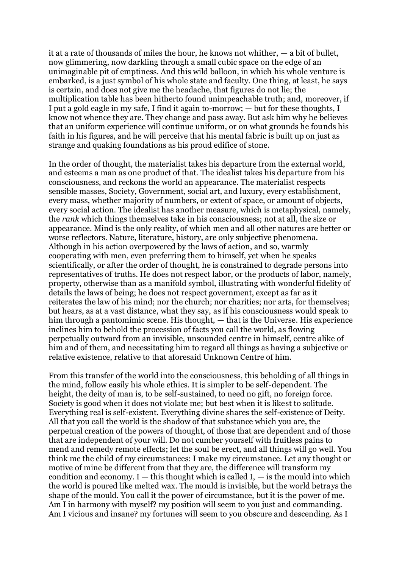it at a rate of thousands of miles the hour, he knows not whither, — a bit of bullet, now glimmering, now darkling through a small cubic space on the edge of an unimaginable pit of emptiness. And this wild balloon, in which his whole venture is embarked, is a just symbol of his whole state and faculty. One thing, at least, he says is certain, and does not give me the headache, that figures do not lie; the multiplication table has been hitherto found unimpeachable truth; and, moreover, if I put a gold eagle in my safe, I find it again to-morrow; — but for these thoughts, I know not whence they are. They change and pass away. But ask him why he believes that an uniform experience will continue uniform, or on what grounds he founds his faith in his figures, and he will perceive that his mental fabric is built up on just as strange and quaking foundations as his proud edifice of stone.

In the order of thought, the materialist takes his departure from the external world, and esteems a man as one product of that. The idealist takes his departure from his consciousness, and reckons the world an appearance. The materialist respects sensible masses, Society, Government, social art, and luxury, every establishment, every mass, whether majority of numbers, or extent of space, or amount of objects, every social action. The idealist has another measure, which is metaphysical, namely, the *rank* which things themselves take in his consciousness; not at all, the size or appearance. Mind is the only reality, of which men and all other natures are better or worse reflectors. Nature, literature, history, are only subjective phenomena. Although in his action overpowered by the laws of action, and so, warmly cooperating with men, even preferring them to himself, yet when he speaks scientifically, or after the order of thought, he is constrained to degrade persons into representatives of truths. He does not respect labor, or the products of labor, namely, property, otherwise than as a manifold symbol, illustrating with wonderful fidelity of details the laws of being; he does not respect government, except as far as it reiterates the law of his mind; nor the church; nor charities; nor arts, for themselves; but hears, as at a vast distance, what they say, as if his consciousness would speak to him through a pantomimic scene. His thought,  $-$  that is the Universe. His experience inclines him to behold the procession of facts you call the world, as flowing perpetually outward from an invisible, unsounded centre in himself, centre alike of him and of them, and necessitating him to regard all things as having a subjective or relative existence, relative to that aforesaid Unknown Centre of him.

From this transfer of the world into the consciousness, this beholding of all things in the mind, follow easily his whole ethics. It is simpler to be self-dependent. The height, the deity of man is, to be self-sustained, to need no gift, no foreign force. Society is good when it does not violate me; but best when it is likest to solitude. Everything real is self-existent. Everything divine shares the self-existence of Deity. All that you call the world is the shadow of that substance which you are, the perpetual creation of the powers of thought, of those that are dependent and of those that are independent of your will. Do not cumber yourself with fruitless pains to mend and remedy remote effects; let the soul be erect, and all things will go well. You think me the child of my circumstances: I make my circumstance. Let any thought or motive of mine be different from that they are, the difference will transform my condition and economy.  $I -$  this thought which is called  $I -$  is the mould into which the world is poured like melted wax. The mould is invisible, but the world betrays the shape of the mould. You call it the power of circumstance, but it is the power of me. Am I in harmony with myself? my position will seem to you just and commanding. Am I vicious and insane? my fortunes will seem to you obscure and descending. As I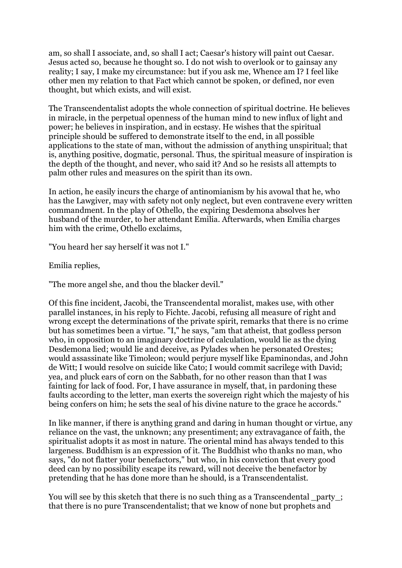am, so shall I associate, and, so shall I act; Caesar's history will paint out Caesar. Jesus acted so, because he thought so. I do not wish to overlook or to gainsay any reality; I say, I make my circumstance: but if you ask me, Whence am I? I feel like other men my relation to that Fact which cannot be spoken, or defined, nor even thought, but which exists, and will exist.

The Transcendentalist adopts the whole connection of spiritual doctrine. He believes in miracle, in the perpetual openness of the human mind to new influx of light and power; he believes in inspiration, and in ecstasy. He wishes that the spiritual principle should be suffered to demonstrate itself to the end, in all possible applications to the state of man, without the admission of anything unspiritual; that is, anything positive, dogmatic, personal. Thus, the spiritual measure of inspiration is the depth of the thought, and never, who said it? And so he resists all attempts to palm other rules and measures on the spirit than its own.

In action, he easily incurs the charge of antinomianism by his avowal that he, who has the Lawgiver, may with safety not only neglect, but even contravene every written commandment. In the play of Othello, the expiring Desdemona absolves her husband of the murder, to her attendant Emilia. Afterwards, when Emilia charges him with the crime, Othello exclaims,

"You heard her say herself it was not I."

Emilia replies,

"The more angel she, and thou the blacker devil."

Of this fine incident, Jacobi, the Transcendental moralist, makes use, with other parallel instances, in his reply to Fichte. Jacobi, refusing all measure of right and wrong except the determinations of the private spirit, remarks that there is no crime but has sometimes been a virtue. "I," he says, "am that atheist, that godless person who, in opposition to an imaginary doctrine of calculation, would lie as the dying Desdemona lied; would lie and deceive, as Pylades when he personated Orestes; would assassinate like Timoleon; would perjure myself like Epaminondas, and John de Witt; I would resolve on suicide like Cato; I would commit sacrilege with David; yea, and pluck ears of corn on the Sabbath, for no other reason than that I was fainting for lack of food. For, I have assurance in myself, that, in pardoning these faults according to the letter, man exerts the sovereign right which the majesty of his being confers on him; he sets the seal of his divine nature to the grace he accords."

In like manner, if there is anything grand and daring in human thought or virtue, any reliance on the vast, the unknown; any presentiment; any extravagance of faith, the spiritualist adopts it as most in nature. The oriental mind has always tended to this largeness. Buddhism is an expression of it. The Buddhist who thanks no man, who says, "do not flatter your benefactors," but who, in his conviction that every good deed can by no possibility escape its reward, will not deceive the benefactor by pretending that he has done more than he should, is a Transcendentalist.

You will see by this sketch that there is no such thing as a Transcendental \_party\_; that there is no pure Transcendentalist; that we know of none but prophets and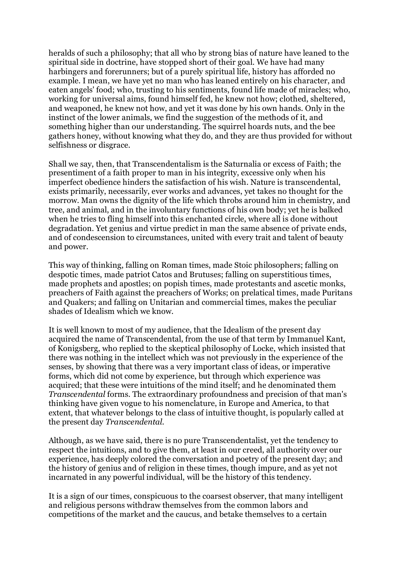heralds of such a philosophy; that all who by strong bias of nature have leaned to the spiritual side in doctrine, have stopped short of their goal. We have had many harbingers and forerunners; but of a purely spiritual life, history has afforded no example. I mean, we have yet no man who has leaned entirely on his character, and eaten angels' food; who, trusting to his sentiments, found life made of miracles; who, working for universal aims, found himself fed, he knew not how; clothed, sheltered, and weaponed, he knew not how, and yet it was done by his own hands. Only in the instinct of the lower animals, we find the suggestion of the methods of it, and something higher than our understanding. The squirrel hoards nuts, and the bee gathers honey, without knowing what they do, and they are thus provided for without selfishness or disgrace.

Shall we say, then, that Transcendentalism is the Saturnalia or excess of Faith; the presentiment of a faith proper to man in his integrity, excessive only when his imperfect obedience hinders the satisfaction of his wish. Nature is transcendental, exists primarily, necessarily, ever works and advances, yet takes no thought for the morrow. Man owns the dignity of the life which throbs around him in chemistry, and tree, and animal, and in the involuntary functions of his own body; yet he is balked when he tries to fling himself into this enchanted circle, where all is done without degradation. Yet genius and virtue predict in man the same absence of private ends, and of condescension to circumstances, united with every trait and talent of beauty and power.

This way of thinking, falling on Roman times, made Stoic philosophers; falling on despotic times, made patriot Catos and Brutuses; falling on superstitious times, made prophets and apostles; on popish times, made protestants and ascetic monks, preachers of Faith against the preachers of Works; on prelatical times, made Puritans and Quakers; and falling on Unitarian and commercial times, makes the peculiar shades of Idealism which we know.

It is well known to most of my audience, that the Idealism of the present day acquired the name of Transcendental, from the use of that term by Immanuel Kant, of Konigsberg, who replied to the skeptical philosophy of Locke, which insisted that there was nothing in the intellect which was not previously in the experience of the senses, by showing that there was a very important class of ideas, or imperative forms, which did not come by experience, but through which experience was acquired; that these were intuitions of the mind itself; and he denominated them *Transcendental* forms. The extraordinary profoundness and precision of that man's thinking have given vogue to his nomenclature, in Europe and America, to that extent, that whatever belongs to the class of intuitive thought, is popularly called at the present day *Transcendental*.

Although, as we have said, there is no pure Transcendentalist, yet the tendency to respect the intuitions, and to give them, at least in our creed, all authority over our experience, has deeply colored the conversation and poetry of the present day; and the history of genius and of religion in these times, though impure, and as yet not incarnated in any powerful individual, will be the history of this tendency.

It is a sign of our times, conspicuous to the coarsest observer, that many intelligent and religious persons withdraw themselves from the common labors and competitions of the market and the caucus, and betake themselves to a certain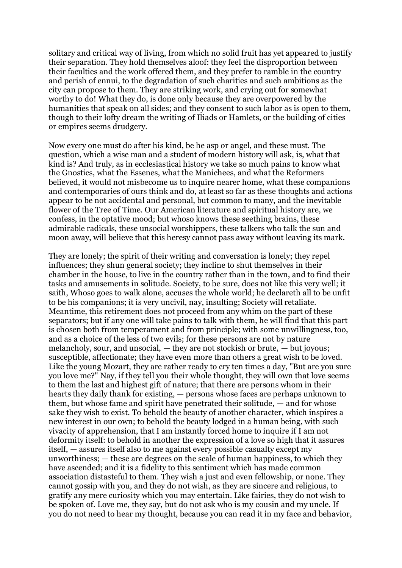solitary and critical way of living, from which no solid fruit has yet appeared to justify their separation. They hold themselves aloof: they feel the disproportion between their faculties and the work offered them, and they prefer to ramble in the country and perish of ennui, to the degradation of such charities and such ambitions as the city can propose to them. They are striking work, and crying out for somewhat worthy to do! What they do, is done only because they are overpowered by the humanities that speak on all sides; and they consent to such labor as is open to them, though to their lofty dream the writing of Iliads or Hamlets, or the building of cities or empires seems drudgery.

Now every one must do after his kind, be he asp or angel, and these must. The question, which a wise man and a student of modern history will ask, is, what that kind is? And truly, as in ecclesiastical history we take so much pains to know what the Gnostics, what the Essenes, what the Manichees, and what the Reformers believed, it would not misbecome us to inquire nearer home, what these companions and contemporaries of ours think and do, at least so far as these thoughts and actions appear to be not accidental and personal, but common to many, and the inevitable flower of the Tree of Time. Our American literature and spiritual history are, we confess, in the optative mood; but whoso knows these seething brains, these admirable radicals, these unsocial worshippers, these talkers who talk the sun and moon away, will believe that this heresy cannot pass away without leaving its mark.

They are lonely; the spirit of their writing and conversation is lonely; they repel influences; they shun general society; they incline to shut themselves in their chamber in the house, to live in the country rather than in the town, and to find their tasks and amusements in solitude. Society, to be sure, does not like this very well; it saith, Whoso goes to walk alone, accuses the whole world; he declareth all to be unfit to be his companions; it is very uncivil, nay, insulting; Society will retaliate. Meantime, this retirement does not proceed from any whim on the part of these separators; but if any one will take pains to talk with them, he will find that this part is chosen both from temperament and from principle; with some unwillingness, too, and as a choice of the less of two evils; for these persons are not by nature melancholy, sour, and unsocial, — they are not stockish or brute, — but joyous; susceptible, affectionate; they have even more than others a great wish to be loved. Like the young Mozart, they are rather ready to cry ten times a day, "But are you sure you love me?" Nay, if they tell you their whole thought, they will own that love seems to them the last and highest gift of nature; that there are persons whom in their hearts they daily thank for existing, — persons whose faces are perhaps unknown to them, but whose fame and spirit have penetrated their solitude, — and for whose sake they wish to exist. To behold the beauty of another character, which inspires a new interest in our own; to behold the beauty lodged in a human being, with such vivacity of apprehension, that I am instantly forced home to inquire if I am not deformity itself: to behold in another the expression of a love so high that it assures itself, — assures itself also to me against every possible casualty except my unworthiness; — these are degrees on the scale of human happiness, to which they have ascended; and it is a fidelity to this sentiment which has made common association distasteful to them. They wish a just and even fellowship, or none. They cannot gossip with you, and they do not wish, as they are sincere and religious, to gratify any mere curiosity which you may entertain. Like fairies, they do not wish to be spoken of. Love me, they say, but do not ask who is my cousin and my uncle. If you do not need to hear my thought, because you can read it in my face and behavior,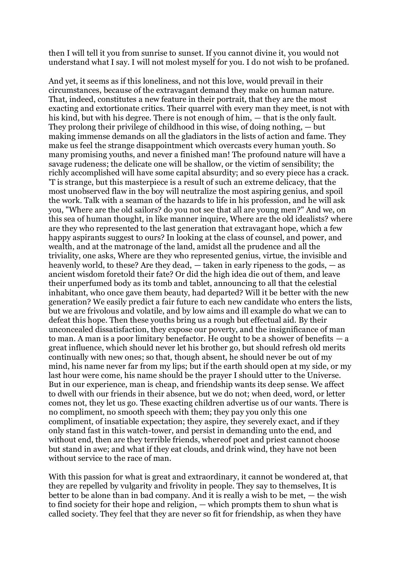then I will tell it you from sunrise to sunset. If you cannot divine it, you would not understand what I say. I will not molest myself for you. I do not wish to be profaned.

And yet, it seems as if this loneliness, and not this love, would prevail in their circumstances, because of the extravagant demand they make on human nature. That, indeed, constitutes a new feature in their portrait, that they are the most exacting and extortionate critics. Their quarrel with every man they meet, is not with his kind, but with his degree. There is not enough of him, — that is the only fault. They prolong their privilege of childhood in this wise, of doing nothing, — but making immense demands on all the gladiators in the lists of action and fame. They make us feel the strange disappointment which overcasts every human youth. So many promising youths, and never a finished man! The profound nature will have a savage rudeness; the delicate one will be shallow, or the victim of sensibility; the richly accomplished will have some capital absurdity; and so every piece has a crack. 'T is strange, but this masterpiece is a result of such an extreme delicacy, that the most unobserved flaw in the boy will neutralize the most aspiring genius, and spoil the work. Talk with a seaman of the hazards to life in his profession, and he will ask you, "Where are the old sailors? do you not see that all are young men?" And we, on this sea of human thought, in like manner inquire, Where are the old idealists? where are they who represented to the last generation that extravagant hope, which a few happy aspirants suggest to ours? In looking at the class of counsel, and power, and wealth, and at the matronage of the land, amidst all the prudence and all the triviality, one asks, Where are they who represented genius, virtue, the invisible and heavenly world, to these? Are they dead, — taken in early ripeness to the gods, — as ancient wisdom foretold their fate? Or did the high idea die out of them, and leave their unperfumed body as its tomb and tablet, announcing to all that the celestial inhabitant, who once gave them beauty, had departed? Will it be better with the new generation? We easily predict a fair future to each new candidate who enters the lists, but we are frivolous and volatile, and by low aims and ill example do what we can to defeat this hope. Then these youths bring us a rough but effectual aid. By their unconcealed dissatisfaction, they expose our poverty, and the insignificance of man to man. A man is a poor limitary benefactor. He ought to be a shower of benefits  $-$  a great influence, which should never let his brother go, but should refresh old merits continually with new ones; so that, though absent, he should never be out of my mind, his name never far from my lips; but if the earth should open at my side, or my last hour were come, his name should be the prayer I should utter to the Universe. But in our experience, man is cheap, and friendship wants its deep sense. We affect to dwell with our friends in their absence, but we do not; when deed, word, or letter comes not, they let us go. These exacting children advertise us of our wants. There is no compliment, no smooth speech with them; they pay you only this one compliment, of insatiable expectation; they aspire, they severely exact, and if they only stand fast in this watch-tower, and persist in demanding unto the end, and without end, then are they terrible friends, whereof poet and priest cannot choose but stand in awe; and what if they eat clouds, and drink wind, they have not been without service to the race of man.

With this passion for what is great and extraordinary, it cannot be wondered at, that they are repelled by vulgarity and frivolity in people. They say to themselves, It is better to be alone than in bad company. And it is really a wish to be met, — the wish to find society for their hope and religion, — which prompts them to shun what is called society. They feel that they are never so fit for friendship, as when they have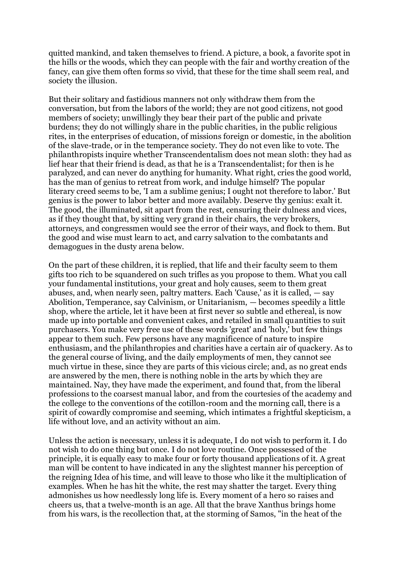quitted mankind, and taken themselves to friend. A picture, a book, a favorite spot in the hills or the woods, which they can people with the fair and worthy creation of the fancy, can give them often forms so vivid, that these for the time shall seem real, and society the illusion.

But their solitary and fastidious manners not only withdraw them from the conversation, but from the labors of the world; they are not good citizens, not good members of society; unwillingly they bear their part of the public and private burdens; they do not willingly share in the public charities, in the public religious rites, in the enterprises of education, of missions foreign or domestic, in the abolition of the slave-trade, or in the temperance society. They do not even like to vote. The philanthropists inquire whether Transcendentalism does not mean sloth: they had as lief hear that their friend is dead, as that he is a Transcendentalist; for then is he paralyzed, and can never do anything for humanity. What right, cries the good world, has the man of genius to retreat from work, and indulge himself? The popular literary creed seems to be, 'I am a sublime genius; I ought not therefore to labor.' But genius is the power to labor better and more availably. Deserve thy genius: exalt it. The good, the illuminated, sit apart from the rest, censuring their dulness and vices, as if they thought that, by sitting very grand in their chairs, the very brokers, attorneys, and congressmen would see the error of their ways, and flock to them. But the good and wise must learn to act, and carry salvation to the combatants and demagogues in the dusty arena below.

On the part of these children, it is replied, that life and their faculty seem to them gifts too rich to be squandered on such trifles as you propose to them. What you call your fundamental institutions, your great and holy causes, seem to them great abuses, and, when nearly seen, paltry matters. Each 'Cause,' as it is called, — say Abolition, Temperance, say Calvinism, or Unitarianism, — becomes speedily a little shop, where the article, let it have been at first never so subtle and ethereal, is now made up into portable and convenient cakes, and retailed in small quantities to suit purchasers. You make very free use of these words 'great' and 'holy,' but few things appear to them such. Few persons have any magnificence of nature to inspire enthusiasm, and the philanthropies and charities have a certain air of quackery. As to the general course of living, and the daily employments of men, they cannot see much virtue in these, since they are parts of this vicious circle; and, as no great ends are answered by the men, there is nothing noble in the arts by which they are maintained. Nay, they have made the experiment, and found that, from the liberal professions to the coarsest manual labor, and from the courtesies of the academy and the college to the conventions of the cotillon-room and the morning call, there is a spirit of cowardly compromise and seeming, which intimates a frightful skepticism, a life without love, and an activity without an aim.

Unless the action is necessary, unless it is adequate, I do not wish to perform it. I do not wish to do one thing but once. I do not love routine. Once possessed of the principle, it is equally easy to make four or forty thousand applications of it. A great man will be content to have indicated in any the slightest manner his perception of the reigning Idea of his time, and will leave to those who like it the multiplication of examples. When he has hit the white, the rest may shatter the target. Every thing admonishes us how needlessly long life is. Every moment of a hero so raises and cheers us, that a twelve-month is an age. All that the brave Xanthus brings home from his wars, is the recollection that, at the storming of Samos, "in the heat of the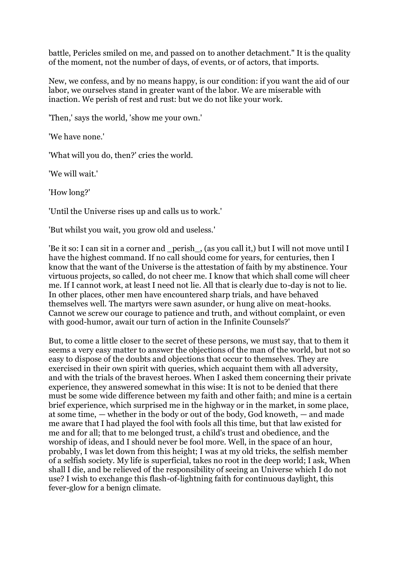battle, Pericles smiled on me, and passed on to another detachment." It is the quality of the moment, not the number of days, of events, or of actors, that imports.

New, we confess, and by no means happy, is our condition: if you want the aid of our labor, we ourselves stand in greater want of the labor. We are miserable with inaction. We perish of rest and rust: but we do not like your work.

'Then,' says the world, 'show me your own.'

'We have none.'

'What will you do, then?' cries the world.

'We will wait.'

'How long?'

'Until the Universe rises up and calls us to work.'

'But whilst you wait, you grow old and useless.'

'Be it so: I can sit in a corner and \_perish\_, (as you call it,) but I will not move until I have the highest command. If no call should come for years, for centuries, then I know that the want of the Universe is the attestation of faith by my abstinence. Your virtuous projects, so called, do not cheer me. I know that which shall come will cheer me. If I cannot work, at least I need not lie. All that is clearly due to-day is not to lie. In other places, other men have encountered sharp trials, and have behaved themselves well. The martyrs were sawn asunder, or hung alive on meat-hooks. Cannot we screw our courage to patience and truth, and without complaint, or even with good-humor, await our turn of action in the Infinite Counsels?'

But, to come a little closer to the secret of these persons, we must say, that to them it seems a very easy matter to answer the objections of the man of the world, but not so easy to dispose of the doubts and objections that occur to themselves. They are exercised in their own spirit with queries, which acquaint them with all adversity, and with the trials of the bravest heroes. When I asked them concerning their private experience, they answered somewhat in this wise: It is not to be denied that there must be some wide difference between my faith and other faith; and mine is a certain brief experience, which surprised me in the highway or in the market, in some place, at some time, — whether in the body or out of the body, God knoweth, — and made me aware that I had played the fool with fools all this time, but that law existed for me and for all; that to me belonged trust, a child's trust and obedience, and the worship of ideas, and I should never be fool more. Well, in the space of an hour, probably, I was let down from this height; I was at my old tricks, the selfish member of a selfish society. My life is superficial, takes no root in the deep world; I ask, When shall I die, and be relieved of the responsibility of seeing an Universe which I do not use? I wish to exchange this flash-of-lightning faith for continuous daylight, this fever-glow for a benign climate.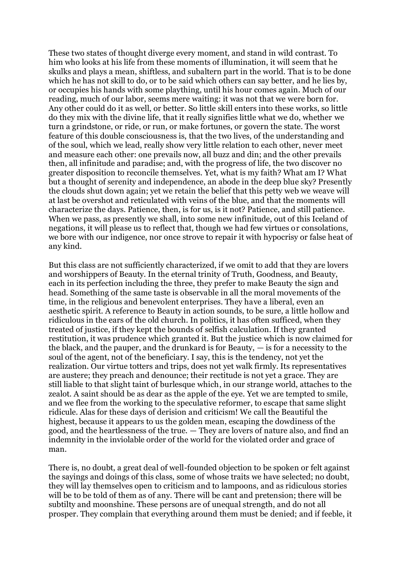These two states of thought diverge every moment, and stand in wild contrast. To him who looks at his life from these moments of illumination, it will seem that he skulks and plays a mean, shiftless, and subaltern part in the world. That is to be done which he has not skill to do, or to be said which others can say better, and he lies by, or occupies his hands with some plaything, until his hour comes again. Much of our reading, much of our labor, seems mere waiting: it was not that we were born for. Any other could do it as well, or better. So little skill enters into these works, so little do they mix with the divine life, that it really signifies little what we do, whether we turn a grindstone, or ride, or run, or make fortunes, or govern the state. The worst feature of this double consciousness is, that the two lives, of the understanding and of the soul, which we lead, really show very little relation to each other, never meet and measure each other: one prevails now, all buzz and din; and the other prevails then, all infinitude and paradise; and, with the progress of life, the two discover no greater disposition to reconcile themselves. Yet, what is my faith? What am I? What but a thought of serenity and independence, an abode in the deep blue sky? Presently the clouds shut down again; yet we retain the belief that this petty web we weave will at last be overshot and reticulated with veins of the blue, and that the moments will characterize the days. Patience, then, is for us, is it not? Patience, and still patience. When we pass, as presently we shall, into some new infinitude, out of this Iceland of negations, it will please us to reflect that, though we had few virtues or consolations, we bore with our indigence, nor once strove to repair it with hypocrisy or false heat of any kind.

But this class are not sufficiently characterized, if we omit to add that they are lovers and worshippers of Beauty. In the eternal trinity of Truth, Goodness, and Beauty, each in its perfection including the three, they prefer to make Beauty the sign and head. Something of the same taste is observable in all the moral movements of the time, in the religious and benevolent enterprises. They have a liberal, even an aesthetic spirit. A reference to Beauty in action sounds, to be sure, a little hollow and ridiculous in the ears of the old church. In politics, it has often sufficed, when they treated of justice, if they kept the bounds of selfish calculation. If they granted restitution, it was prudence which granted it. But the justice which is now claimed for the black, and the pauper, and the drunkard is for Beauty,  $-$  is for a necessity to the soul of the agent, not of the beneficiary. I say, this is the tendency, not yet the realization. Our virtue totters and trips, does not yet walk firmly. Its representatives are austere; they preach and denounce; their rectitude is not yet a grace. They are still liable to that slight taint of burlesque which, in our strange world, attaches to the zealot. A saint should be as dear as the apple of the eye. Yet we are tempted to smile, and we flee from the working to the speculative reformer, to escape that same slight ridicule. Alas for these days of derision and criticism! We call the Beautiful the highest, because it appears to us the golden mean, escaping the dowdiness of the good, and the heartlessness of the true. — They are lovers of nature also, and find an indemnity in the inviolable order of the world for the violated order and grace of man.

There is, no doubt, a great deal of well-founded objection to be spoken or felt against the sayings and doings of this class, some of whose traits we have selected; no doubt, they will lay themselves open to criticism and to lampoons, and as ridiculous stories will be to be told of them as of any. There will be cant and pretension; there will be subtilty and moonshine. These persons are of unequal strength, and do not all prosper. They complain that everything around them must be denied; and if feeble, it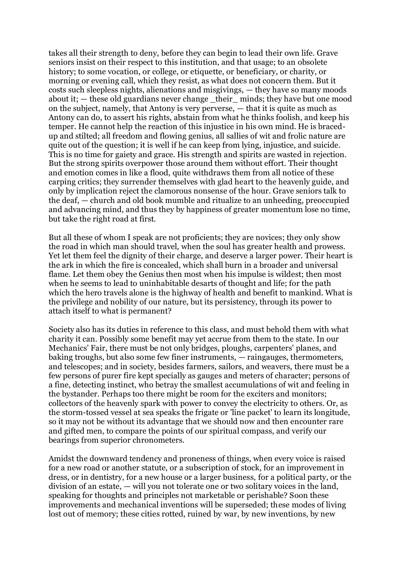takes all their strength to deny, before they can begin to lead their own life. Grave seniors insist on their respect to this institution, and that usage; to an obsolete history; to some vocation, or college, or etiquette, or beneficiary, or charity, or morning or evening call, which they resist, as what does not concern them. But it costs such sleepless nights, alienations and misgivings, — they have so many moods about it; — these old guardians never change \_their\_ minds; they have but one mood on the subject, namely, that Antony is very perverse, — that it is quite as much as Antony can do, to assert his rights, abstain from what he thinks foolish, and keep his temper. He cannot help the reaction of this injustice in his own mind. He is bracedup and stilted; all freedom and flowing genius, all sallies of wit and frolic nature are quite out of the question; it is well if he can keep from lying, injustice, and suicide. This is no time for gaiety and grace. His strength and spirits are wasted in rejection. But the strong spirits overpower those around them without effort. Their thought and emotion comes in like a flood, quite withdraws them from all notice of these carping critics; they surrender themselves with glad heart to the heavenly guide, and only by implication reject the clamorous nonsense of the hour. Grave seniors talk to the deaf, — church and old book mumble and ritualize to an unheeding, preoccupied and advancing mind, and thus they by happiness of greater momentum lose no time, but take the right road at first.

But all these of whom I speak are not proficients; they are novices; they only show the road in which man should travel, when the soul has greater health and prowess. Yet let them feel the dignity of their charge, and deserve a larger power. Their heart is the ark in which the fire is concealed, which shall burn in a broader and universal flame. Let them obey the Genius then most when his impulse is wildest; then most when he seems to lead to uninhabitable desarts of thought and life; for the path which the hero travels alone is the highway of health and benefit to mankind. What is the privilege and nobility of our nature, but its persistency, through its power to attach itself to what is permanent?

Society also has its duties in reference to this class, and must behold them with what charity it can. Possibly some benefit may yet accrue from them to the state. In our Mechanics' Fair, there must be not only bridges, ploughs, carpenters' planes, and baking troughs, but also some few finer instruments, — raingauges, thermometers, and telescopes; and in society, besides farmers, sailors, and weavers, there must be a few persons of purer fire kept specially as gauges and meters of character; persons of a fine, detecting instinct, who betray the smallest accumulations of wit and feeling in the bystander. Perhaps too there might be room for the exciters and monitors; collectors of the heavenly spark with power to convey the electricity to others. Or, as the storm-tossed vessel at sea speaks the frigate or 'line packet' to learn its longitude, so it may not be without its advantage that we should now and then encounter rare and gifted men, to compare the points of our spiritual compass, and verify our bearings from superior chronometers.

Amidst the downward tendency and proneness of things, when every voice is raised for a new road or another statute, or a subscription of stock, for an improvement in dress, or in dentistry, for a new house or a larger business, for a political party, or the division of an estate, — will you not tolerate one or two solitary voices in the land, speaking for thoughts and principles not marketable or perishable? Soon these improvements and mechanical inventions will be superseded; these modes of living lost out of memory; these cities rotted, ruined by war, by new inventions, by new